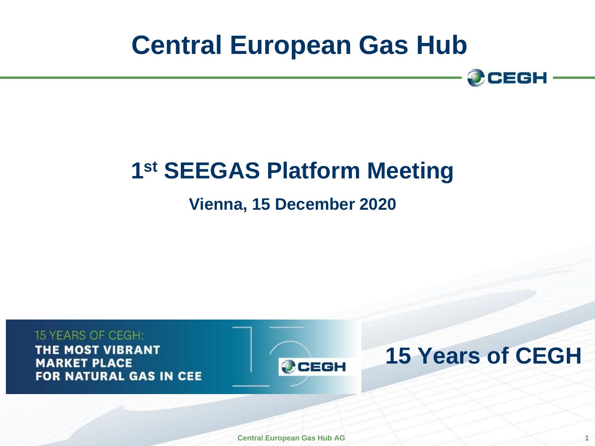# **Central European Gas Hub**



#### **1 st SEEGAS Platform Meeting**

#### **Vienna, 15 December 2020**

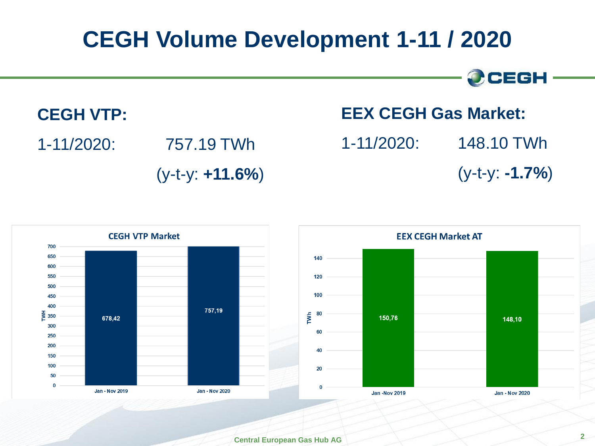#### **CEGH Volume Development 1-11 / 2020**

**OCEGH** 

#### **CEGH VTP:**

1-11/2020: 757.19 TWh (y-t-y: **+11.6%**)

#### **EEX CEGH Gas Market:** 1-11/2020: 148.10 TWh

(y-t-y: **-1.7%**)

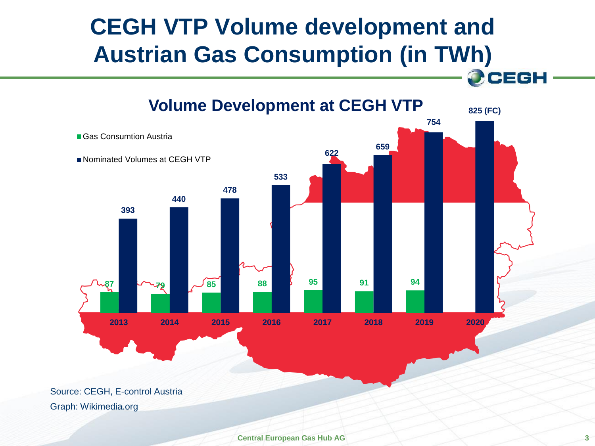## **CEGH VTP Volume development and Austrian Gas Consumption (in TWh)**



**Central European Gas Hub AG 3**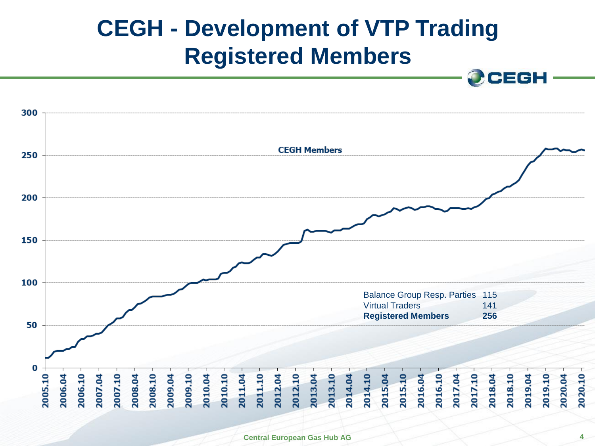#### **CEGH - Development of VTP Trading Registered Members**



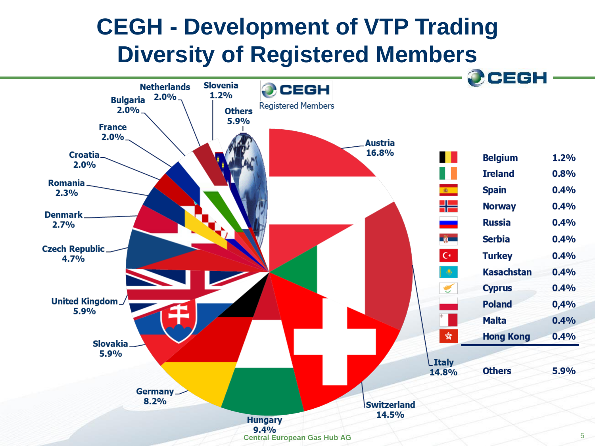#### **CEGH - Development of VTP Trading Diversity of Registered Members**

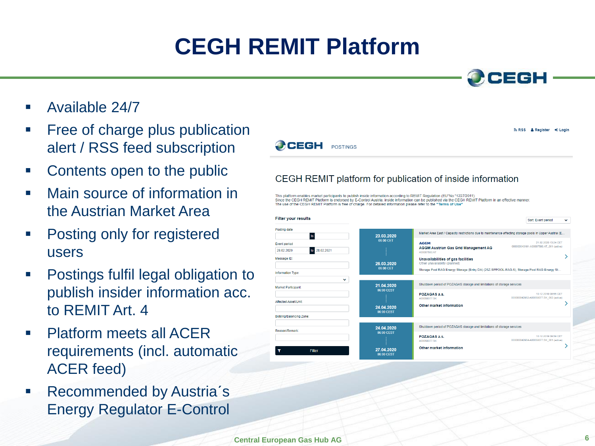# **CEGH REMIT Platform**

- Available 24/7
- Free of charge plus publication alert / RSS feed subscription
- Contents open to the public
- Main source of information in the Austrian Market Area
- Posting only for registered users
- **Postings fulfil legal obligation to** publish insider information acc. to REMIT Art. 4
- **Platform meets all ACER** requirements (incl. automatic ACER feed)
- **Recommended by Austria's** Energy Regulator E-Control



POZAGAS a.s.

27.04.2020 06:00 CEST

Other market information

0 CEGH

000042954-A00058077.SK\_001 (active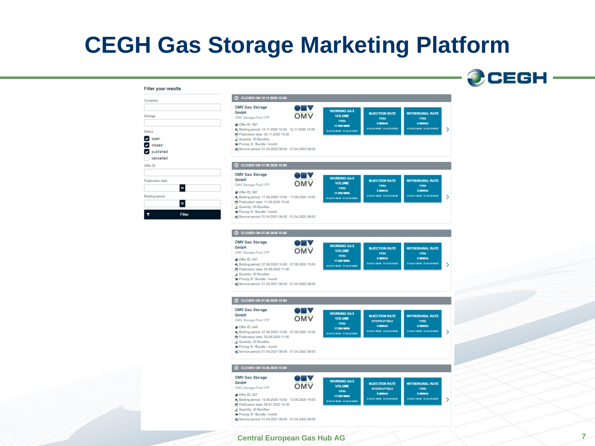#### **CEGH Gas Storage Marketing Platform**



#### **Filter your results**

| Company                                                                                    | (2) CLOSED ON 12.11.2020 15:00                                                                                                                                                                                                                                                                                                                    |                                                                                                     |                                                                                             |                                                                                            |   |
|--------------------------------------------------------------------------------------------|---------------------------------------------------------------------------------------------------------------------------------------------------------------------------------------------------------------------------------------------------------------------------------------------------------------------------------------------------|-----------------------------------------------------------------------------------------------------|---------------------------------------------------------------------------------------------|--------------------------------------------------------------------------------------------|---|
| Storage<br><b>Status</b><br>$\vee$ open<br>$\vee$ closed<br>$\checkmark$<br>published      | <b>OMV Gas Storage</b><br>ozv<br>GmbH<br><b>OMV</b><br>OMV Storage-Pool VTP<br># Offer ID: 587<br>₹ Bidding period: 12.11.2020 10:00 - 12.11.2020 15:00<br># Publication date: 02.11.2020 15:00<br>& Quantity: 30 Bundles<br>Pricing: € / Bundle / month<br>og Service period: 01.04.2022 06:00 - 01.04.2023 06:00                                | <b>WORKING GAS</b><br><b>VOLUME</b><br><b>FIRM</b><br>17.000 MWh<br>01.84.22.08:00 - 01.04.23.08:00 | <b>INJECTION RATE</b><br><b>FIRM</b><br>8 MWh/h<br>01.04.22 00:00 - 01.04.23 00:00          | <b>WITHDRAWAL RATE</b><br><b>FIRM</b><br><b>SMWh/h</b><br>01.04.22 00:00 - 01.04.23 00:00  | > |
| cancelled<br>Offer ID                                                                      | 20 CLOSED ON 17.09.2020 15:00                                                                                                                                                                                                                                                                                                                     |                                                                                                     |                                                                                             |                                                                                            |   |
| Publication date<br>$\mathbf{b}$<br><b>Bidding period</b><br>$\mathbf{b}$<br><b>Filter</b> | <b>OMV Gas Storage</b><br>OZV<br>GmbH<br><b>OMV</b><br>OMV Storage-Pool VTP<br># Offer ID: 567<br>◆ Bidding period: 17.09.2020 10:00 - 17.09.2020 15:00<br>簡 Publication date: 11.09.2020 10:45<br>2 Quantity: 25 Bundles<br>$\blacktriangleright$ Pricing: $\epsilon$ / Bundle / month<br>of Service period: 01.04.2021 06:00 - 01.04.2022 06:00 | <b>WORKING GAS</b><br><b>VOLUME</b><br><b>FIRM</b><br>17.000 MWh<br>01.04.21.00:00 - 01.04.22.00:00 | <b>INJECTION RATE</b><br><b>FIRM</b><br>8 MWh/h<br>01.04.21 00:00 - 01.04.22 08:00          | <b>WITHDRAWAL RATE</b><br><b>FIRM</b><br><b>SMWh/h</b><br>01:04:21 00:00 - 01:04:22 08:00  | ⋟ |
|                                                                                            | 2 CLOSED ON 27.08.2020 15:00                                                                                                                                                                                                                                                                                                                      |                                                                                                     |                                                                                             |                                                                                            |   |
|                                                                                            | <b>OMV Gas Storage</b><br>07 V<br>GmbH<br>OMV<br>OMV Storage-Pool VTP<br># Offer ID: 547<br>← Bidding period: 27.08.2020 10:00 - 27.08.2020 15:00<br>台 Publication date: 20.08.2020 11:00<br>2 Quantity: 20 Bundles<br>Pricing: € / Bundle / month<br>of Service period: 01.04.2021 06:00 - 01.04.2022 06:00                                      | <b>WORKING GAS</b><br><b>VOLUME</b><br><b>FIRM</b><br>17.000 MWh<br>01.84.21.08:00 - 01.04.22.08:00 | <b>INJECTION RATE</b><br><b>FIRM</b><br>8 MWh/h<br>01.04.21 00:00 - 01.04.22 00:00          | <b>WITHDRAWAL RATE</b><br><b>FIRM</b><br><b>S MWh/h</b><br>01.04.21.00:00 01.04.22.00:00   | ⋟ |
|                                                                                            | 2 CLOSED ON 27.08.2020 15:00                                                                                                                                                                                                                                                                                                                      |                                                                                                     |                                                                                             |                                                                                            |   |
|                                                                                            | <b>OMV Gas Storage</b><br>ozv<br>GmbH<br><b>OMV</b><br>OMV Storage-Pool VTP<br># Offer ID: 548<br>◆ Bidding period: 27.08.2020 10:00 - 27.08.2020 15:00<br>台 Publication date: 20.08.2020 11:00<br>2 Quantity: 20 Bundles<br>Pricing: € / Bundle / month<br>of Service period: 01.04.2021 06:00 - 01.04.2022 06:00                                | <b>WORKING GAS</b><br><b>VOLUME</b><br><b>FIRM</b><br>17.000 MWh<br>01.84.21.08:00 - 01.04.22.08:00 | <b>INJECTION RATE</b><br><b>INTERRUPTIBLE</b><br>8 MWh/h<br>01.04.21.00:00 - 01.04.22.00:00 | <b>WITHDRAWAL RATE</b><br><b>FIRM</b><br><b>S MWh/h</b><br>01.04.21.00:00 - 01.04.22.00:00 | ⋟ |
|                                                                                            | 2 CLOSED ON 13.08.2020 15:00                                                                                                                                                                                                                                                                                                                      |                                                                                                     |                                                                                             |                                                                                            |   |
|                                                                                            | <b>OMV Gas Storage</b><br>07 V<br>GmbH<br>OMV<br>OMV Storage-Pool VTP<br># Offer ID: 527<br>◆ Bidding period: 13.08.2020 10:00 - 13.08.2020 15:00<br>簡 Publication date: 28.07.2020 15:30<br>2 Quantity: 20 Bundles<br>$P$ ricing: $E /$ Bundle / month<br>of Service period: 01.04.2021 06:00 - 01.04.2022 06:00                                 | <b>WORKING GAS</b><br><b>VOLUME</b><br><b>FIRM</b><br>17.000 MWh<br>01.84.21.08:00 - 01.04.22.08:00 | <b>INJECTION RATE</b><br><b>INTERRUPTIBLE</b><br>8 MWh/h<br>01.04.21.00:00 - 01.04.22.00:00 | <b>WITHDRAWAL RATE</b><br><b>FIRM</b><br><b>SMWh/h</b><br>01.04.21.00:00 01.04.22.00:00    | > |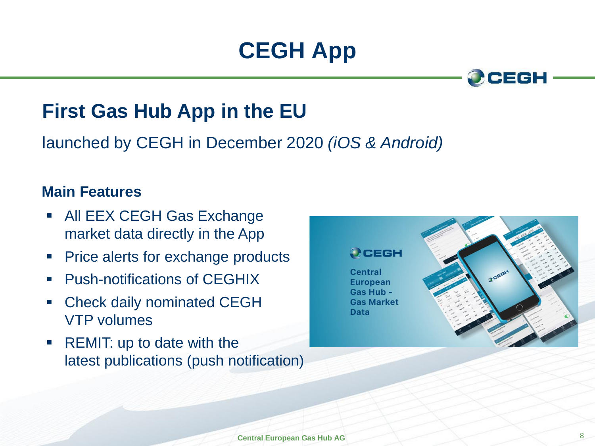# **CEGH App**



#### **First Gas Hub App in the EU**

launched by CEGH in December 2020 *(iOS & Android)*

#### **Main Features**

- All EEX CEGH Gas Exchange market data directly in the App
- Price alerts for exchange products
- Push-notifications of CEGHIX
- Check daily nominated CEGH VTP volumes
- REMIT: up to date with the latest publications (push notification)

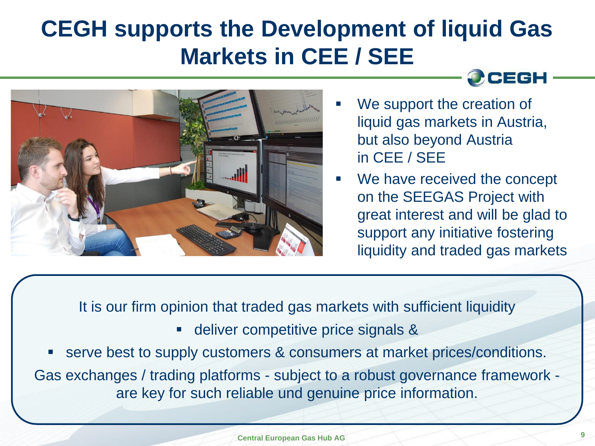#### **CEGH supports the Development of liquid Gas Markets in CEE / SEE**  $\Omega$ CEGH



- We support the creation of liquid gas markets in Austria, but also beyond Austria in CEE / SEE
- We have received the concept on the SEEGAS Project with great interest and will be glad to support any initiative fostering liquidity and traded gas markets

It is our firm opinion that traded gas markets with sufficient liquidity

- **deliver competitive price signals &**
- serve best to supply customers & consumers at market prices/conditions.

Gas exchanges / trading platforms - subject to a robust governance framework are key for such reliable und genuine price information.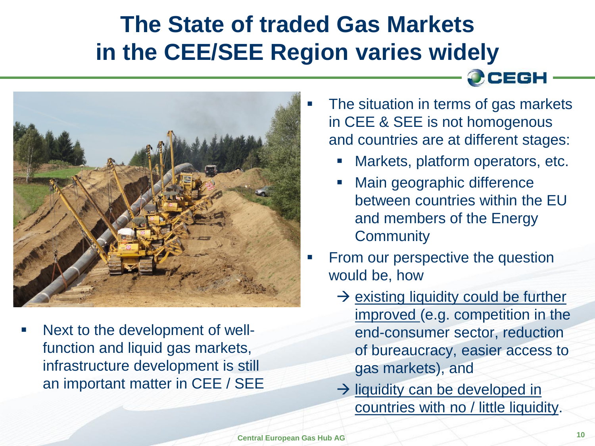## **The State of traded Gas Markets in the CEE/SEE Region varies widely**



 Next to the development of wellfunction and liquid gas markets, infrastructure development is still an important matter in CEE / SEE

- The situation in terms of gas markets in CEE & SEE is not homogenous and countries are at different stages:
	- **Markets, platform operators, etc.**

OCEGH

- Main geographic difference between countries within the EU and members of the Energy **Community**
- From our perspective the question would be, how
	- $\rightarrow$  existing liquidity could be further improved (e.g. competition in the end-consumer sector, reduction of bureaucracy, easier access to gas markets), and
	- $\rightarrow$  liquidity can be developed in countries with no / little liquidity.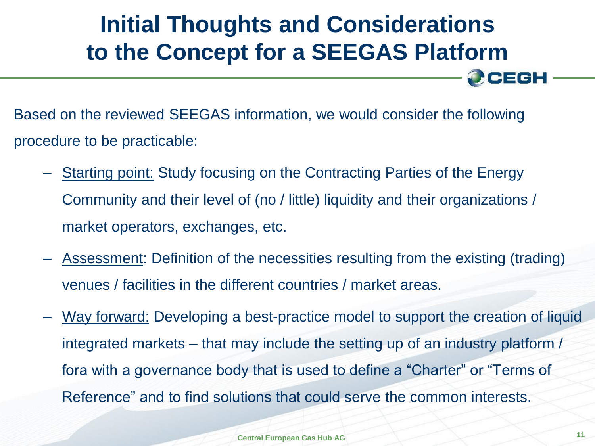## **Initial Thoughts and Considerations to the Concept for a SEEGAS Platform**

Based on the reviewed SEEGAS information, we would consider the following procedure to be practicable:

- Starting point: Study focusing on the Contracting Parties of the Energy Community and their level of (no / little) liquidity and their organizations / market operators, exchanges, etc.
- Assessment: Definition of the necessities resulting from the existing (trading) venues / facilities in the different countries / market areas.
- Way forward: Developing a best-practice model to support the creation of liquid integrated markets – that may include the setting up of an industry platform / fora with a governance body that is used to define a "Charter" or "Terms of Reference" and to find solutions that could serve the common interests.

**OCEGH**